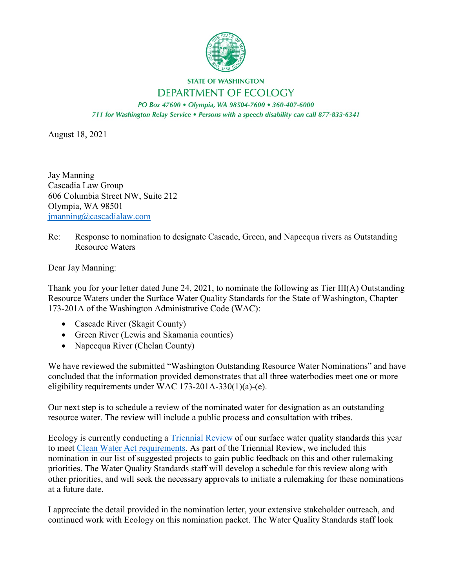

## **STATE OF WASHINGTON DEPARTMENT OF ECOLOGY**

PO Box 47600 · Olympia, WA 98504-7600 · 360-407-6000 711 for Washington Relay Service . Persons with a speech disability can call 877-833-6341

August 18, 2021

Jay Manning Cascadia Law Group 606 Columbia Street NW, Suite 212 Olympia, WA 98501 [jmanning@cascadialaw.com](mailto:jmanning@cascadialaw.com)

Re: Response to nomination to designate Cascade, Green, and Napeequa rivers as Outstanding Resource Waters

Dear Jay Manning:

Thank you for your letter dated June 24, 2021, to nominate the following as Tier III(A) Outstanding Resource Waters under the Surface Water Quality Standards for the State of Washington, Chapter 173-201A of the Washington Administrative Code (WAC):

- Cascade River (Skagit County)
- Green River (Lewis and Skamania counties)
- Napeequa River (Chelan County)

We have reviewed the submitted "Washington Outstanding Resource Water Nominations" and have concluded that the information provided demonstrates that all three waterbodies meet one or more eligibility requirements under WAC 173-201A-330(1)(a)-(e).

Our next step is to schedule a review of the nominated water for designation as an outstanding resource water. The review will include a public process and consultation with tribes.

Ecology is currently conducting a [Triennial Review](https://ecology.wa.gov/Water-Shorelines/Water-quality/Water-quality-standards/Updates-to-the-standards) of our surface water quality standards this year to meet [Clean Water Act requirements.](https://www.ecfr.gov/cgi-bin/text-idx?SID=454a7b51118b27f20cef29ff071c1440&node=40:22.0.1.1.18&rgn=div5#se40.24.131_120) As part of the Triennial Review, we included this nomination in our list of suggested projects to gain public feedback on this and other rulemaking priorities. The Water Quality Standards staff will develop a schedule for this review along with other priorities, and will seek the necessary approvals to initiate a rulemaking for these nominations at a future date.

I appreciate the detail provided in the nomination letter, your extensive stakeholder outreach, and continued work with Ecology on this nomination packet. The Water Quality Standards staff look